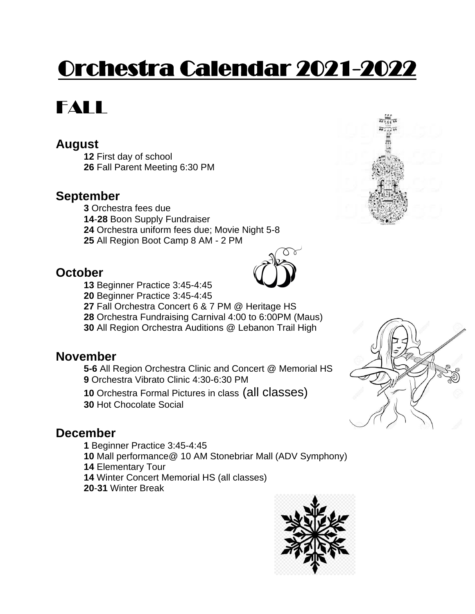# Orchestra Calendar 2021-2022

## FALL

### **August**

 First day of school Fall Parent Meeting 6:30 PM

### **September**

 Orchestra fees due -**28** Boon Supply Fundraiser Orchestra uniform fees due; Movie Night 5-8

All Region Boot Camp 8 AM - 2 PM

### **October**



- Beginner Practice 3:45-4:45
- Fall Orchestra Concert 6 & 7 PM @ Heritage HS
- Orchestra Fundraising Carnival 4:00 to 6:00PM (Maus)
- All Region Orchestra Auditions @ Lebanon Trail High

### **November**

**5-6** All Region Orchestra Clinic and Concert @ Memorial HS Orchestra Vibrato Clinic 4:30-6:30 PM

Orchestra Formal Pictures in class (all classes)

Hot Chocolate Social

### **December**

- Beginner Practice 3:45-4:45
- Mall performance@ 10 AM Stonebriar Mall (ADV Symphony)
- Elementary Tour
- Winter Concert Memorial HS (all classes)
- -**31** Winter Break